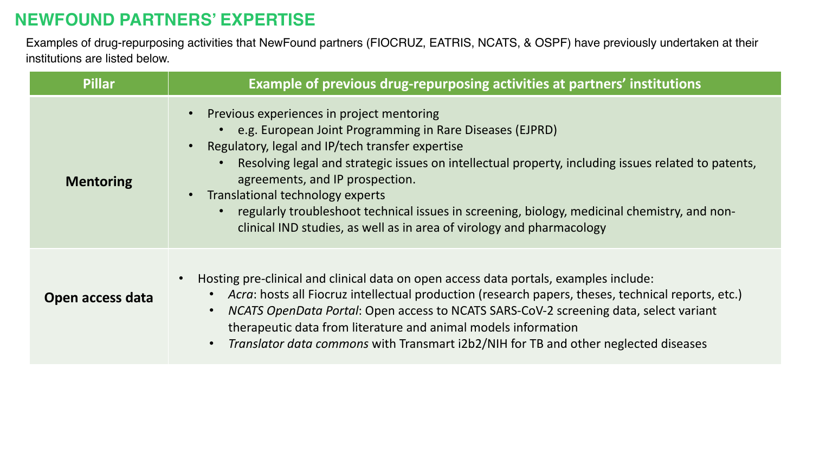## **NEWFOUND PARTNERS' EXPERTISE**

Examples of drug-repurposing activities that NewFound partners (FIOCRUZ, EATRIS, NCATS, & OSPF) have previously undertaken at their institutions are listed below.

| <b>Pillar</b>    | Example of previous drug-repurposing activities at partners' institutions                                                                                                                                                                                                                                                                                                                                                                                                                                        |
|------------------|------------------------------------------------------------------------------------------------------------------------------------------------------------------------------------------------------------------------------------------------------------------------------------------------------------------------------------------------------------------------------------------------------------------------------------------------------------------------------------------------------------------|
| <b>Mentoring</b> | Previous experiences in project mentoring<br>e.g. European Joint Programming in Rare Diseases (EJPRD)<br>Regulatory, legal and IP/tech transfer expertise<br>Resolving legal and strategic issues on intellectual property, including issues related to patents,<br>agreements, and IP prospection.<br>Translational technology experts<br>regularly troubleshoot technical issues in screening, biology, medicinal chemistry, and non-<br>clinical IND studies, as well as in area of virology and pharmacology |
| Open access data | Hosting pre-clinical and clinical data on open access data portals, examples include:<br>Acra: hosts all Fiocruz intellectual production (research papers, theses, technical reports, etc.)<br>NCATS OpenData Portal: Open access to NCATS SARS-CoV-2 screening data, select variant<br>therapeutic data from literature and animal models information<br>Translator data commons with Transmart i2b2/NIH for TB and other neglected diseases                                                                    |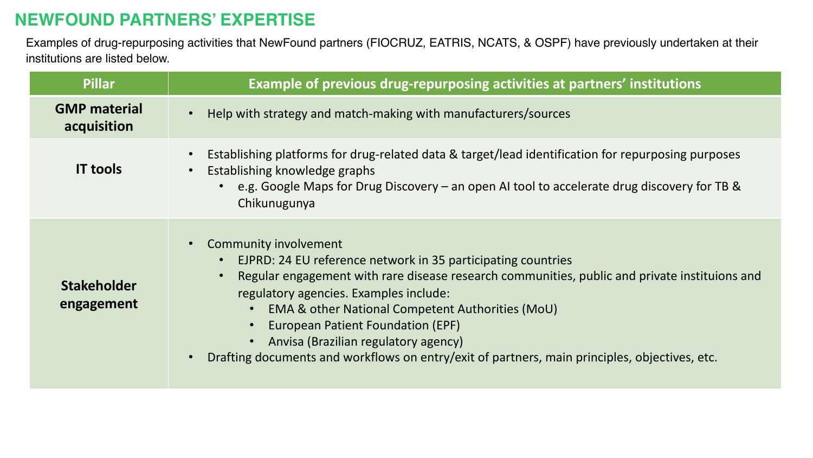## **NEWFOUND PARTNERS' EXPERTISE**

Examples of drug-repurposing activities that NewFound partners (FIOCRUZ, EATRIS, NCATS, & OSPF) have previously undertaken at their institutions are listed below.

| <b>Pillar</b>                      | Example of previous drug-repurposing activities at partners' institutions                                                                                                                                                                                                                                                                                                                                                                                          |
|------------------------------------|--------------------------------------------------------------------------------------------------------------------------------------------------------------------------------------------------------------------------------------------------------------------------------------------------------------------------------------------------------------------------------------------------------------------------------------------------------------------|
| <b>GMP material</b><br>acquisition | Help with strategy and match-making with manufacturers/sources                                                                                                                                                                                                                                                                                                                                                                                                     |
| <b>IT tools</b>                    | Establishing platforms for drug-related data & target/lead identification for repurposing purposes<br>Establishing knowledge graphs<br>e.g. Google Maps for Drug Discovery – an open AI tool to accelerate drug discovery for TB &<br>Chikunugunya                                                                                                                                                                                                                 |
| <b>Stakeholder</b><br>engagement   | Community involvement<br>EJPRD: 24 EU reference network in 35 participating countries<br>Regular engagement with rare disease research communities, public and private instituions and<br>regulatory agencies. Examples include:<br>EMA & other National Competent Authorities (MoU)<br>European Patient Foundation (EPF)<br>Anvisa (Brazilian regulatory agency)<br>Drafting documents and workflows on entry/exit of partners, main principles, objectives, etc. |